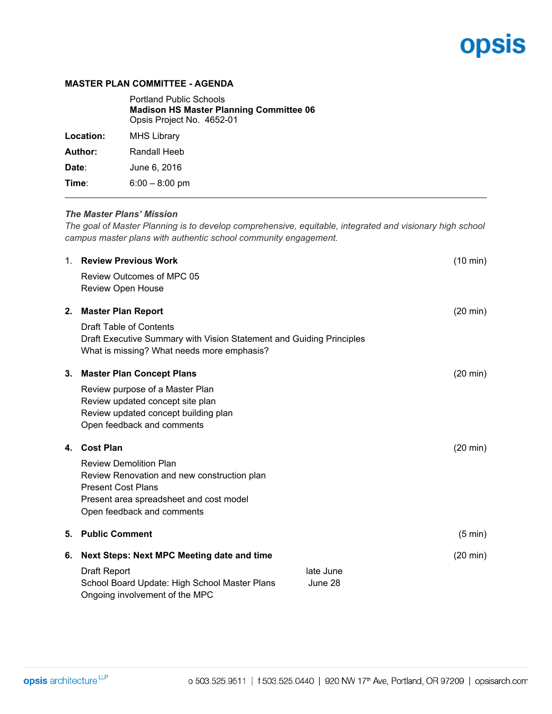# opsis

## **MASTER PLAN COMMITTEE - AGENDA**

|           | <b>Portland Public Schools</b><br><b>Madison HS Master Planning Committee 06</b><br>Opsis Project No. 4652-01 |
|-----------|---------------------------------------------------------------------------------------------------------------|
| Location: | <b>MHS Library</b>                                                                                            |
| Author:   | Randall Heeb                                                                                                  |
| Date:     | June 6, 2016                                                                                                  |
| Time∶     | $6:00 - 8:00$ pm                                                                                              |
|           |                                                                                                               |

## *The Master Plans' Mission*

*The goal of Master Planning is to develop comprehensive, equitable, integrated and visionary high school campus master plans with authentic school community engagement.*

|    | 1. Review Previous Work                                                                                                                       |           | $(10 \text{ min})$ |
|----|-----------------------------------------------------------------------------------------------------------------------------------------------|-----------|--------------------|
|    | <b>Review Outcomes of MPC 05</b>                                                                                                              |           |                    |
|    | Review Open House                                                                                                                             |           |                    |
| 2. | <b>Master Plan Report</b>                                                                                                                     |           | $(20 \text{ min})$ |
|    | Draft Table of Contents<br>Draft Executive Summary with Vision Statement and Guiding Principles<br>What is missing? What needs more emphasis? |           |                    |
| 3. | <b>Master Plan Concept Plans</b>                                                                                                              |           | $(20 \text{ min})$ |
|    | Review purpose of a Master Plan                                                                                                               |           |                    |
|    | Review updated concept site plan<br>Review updated concept building plan                                                                      |           |                    |
|    | Open feedback and comments                                                                                                                    |           |                    |
| 4. | <b>Cost Plan</b>                                                                                                                              |           | $(20 \text{ min})$ |
|    | <b>Review Demolition Plan</b>                                                                                                                 |           |                    |
|    | Review Renovation and new construction plan<br><b>Present Cost Plans</b>                                                                      |           |                    |
|    | Present area spreadsheet and cost model                                                                                                       |           |                    |
|    | Open feedback and comments                                                                                                                    |           |                    |
| 5. | <b>Public Comment</b>                                                                                                                         |           | $(5 \text{ min})$  |
| 6. | <b>Next Steps: Next MPC Meeting date and time</b>                                                                                             |           | $(20 \text{ min})$ |
|    | <b>Draft Report</b>                                                                                                                           | late June |                    |
|    | School Board Update: High School Master Plans<br>Ongoing involvement of the MPC                                                               | June 28   |                    |